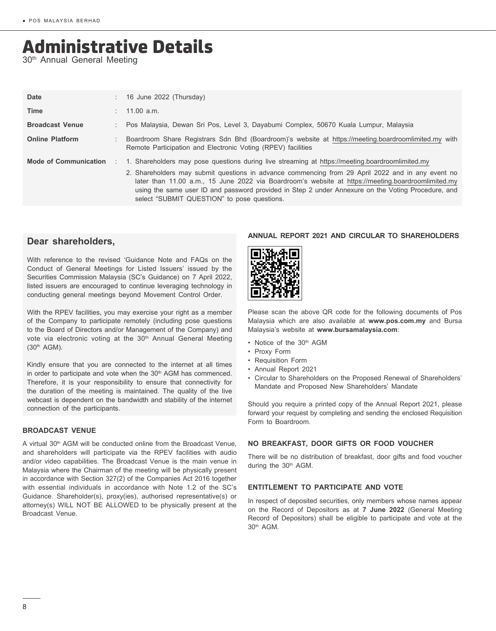# Administrative Details

30<sup>th</sup> Annual General Meeting

| Date                         | $: 16$ June 2022 (Thursday)                                                                                                                                                                                                                                                                                                                                                                                                                                     |
|------------------------------|-----------------------------------------------------------------------------------------------------------------------------------------------------------------------------------------------------------------------------------------------------------------------------------------------------------------------------------------------------------------------------------------------------------------------------------------------------------------|
| <b>Time</b>                  | $: 11.00$ a.m.                                                                                                                                                                                                                                                                                                                                                                                                                                                  |
| <b>Broadcast Venue</b>       | : Pos Malaysia, Dewan Sri Pos, Level 3, Dayabumi Complex, 50670 Kuala Lumpur, Malaysia                                                                                                                                                                                                                                                                                                                                                                          |
| <b>Online Platform</b>       | Boardroom Share Registrars Sdn Bhd (Boardroom)'s website at https://meeting.boardroomlimited.my with<br>Remote Participation and Electronic Voting (RPEV) facilities                                                                                                                                                                                                                                                                                            |
| <b>Mode of Communication</b> | 1. Shareholders may pose questions during live streaming at https://meeting.boardroomlimited.my<br>2. Shareholders may submit questions in advance commencing from 29 April 2022 and in any event no<br>later than 11.00 a.m., 15 June 2022 via Boardroom's website at https://meeting.boardroomlimited.my<br>using the same user ID and password provided in Step 2 under Annexure on the Voting Procedure, and<br>select "SUBMIT QUESTION" to pose questions. |

# **Dear shareholders,**

With reference to the revised 'Guidance Note and FAQs on the Conduct of General Meetings for Listed Issuers' issued by the Securities Commission Malaysia (SC's Guidance) on 7 April 2022, listed issuers are encouraged to continue leveraging technology in conducting general meetings beyond Movement Control Order.

With the RPEV facilities, you may exercise your right as a member of the Company to participate remotely (including pose questions to the Board of Directors and/or Management of the Company) and vote via electronic voting at the 30<sup>th</sup> Annual General Meeting (30th AGM).

Kindly ensure that you are connected to the internet at all times in order to participate and vote when the 30<sup>th</sup> AGM has commenced. Therefore, it is your responsibility to ensure that connectivity for the duration of the meeting is maintained. The quality of the live webcast is dependent on the bandwidth and stability of the internet connection of the participants.

## **BROADCAST VENUE**

A virtual 30<sup>th</sup> AGM will be conducted online from the Broadcast Venue, and shareholders will participate via the RPEV facilities with audio and/or video capabilities. The Broadcast Venue is the main venue in Malaysia where the Chairman of the meeting will be physically present in accordance with Section 327(2) of the Companies Act 2016 together with essential individuals in accordance with Note 1.2 of the SC's Guidance. Shareholder(s), proxy(ies), authorised representative(s) or attorney(s) WILL NOT BE ALLOWED to be physically present at the Broadcast Venue.

## **ANNUAL REPORT 2021 AND CIRCULAR TO SHAREHOLDERS**



Please scan the above QR code for the following documents of Pos Malaysia which are also available at **www.pos.com.my** and Bursa Malaysia's website at **www.bursamalaysia.com**:

- Notice of the 30<sup>th</sup> AGM
- Proxy Form
- Requisition Form
- Annual Report 2021
- Circular to Shareholders on the Proposed Renewal of Shareholders' Mandate and Proposed New Shareholders' Mandate

Should you require a printed copy of the Annual Report 2021, please forward your request by completing and sending the enclosed Requisition Form to Boardroom.

## **NO BREAKFAST, DOOR GIFTS OR FOOD VOUCHER**

There will be no distribution of breakfast, door gifts and food voucher during the 30<sup>th</sup> AGM.

#### **ENTITLEMENT TO PARTICIPATE AND VOTE**

In respect of deposited securities, only members whose names appear on the Record of Depositors as at **7 June 2022** (General Meeting Record of Depositors) shall be eligible to participate and vote at the 30th AGM.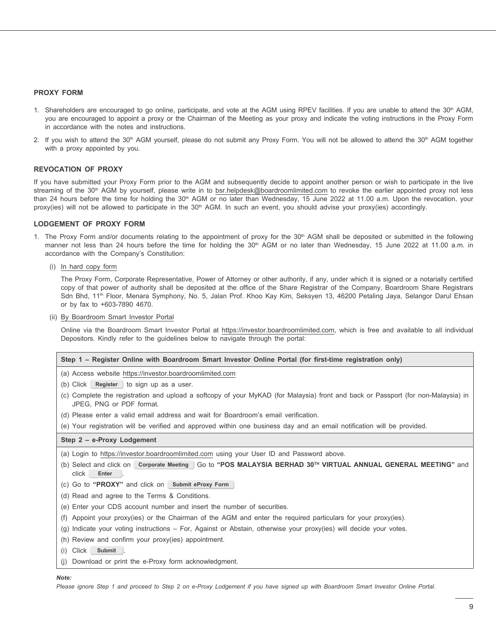#### **PROXY FORM**

- 1. Shareholders are encouraged to go online, participate, and vote at the AGM using RPEV facilities. If you are unable to attend the 30<sup>th</sup> AGM, you are encouraged to appoint a proxy or the Chairman of the Meeting as your proxy and indicate the voting instructions in the Proxy Form in accordance with the notes and instructions.
- 2. If you wish to attend the 30<sup>th</sup> AGM yourself, please do not submit any Proxy Form. You will not be allowed to attend the 30<sup>th</sup> AGM together with a proxy appointed by you.

#### **REVOCATION OF PROXY**

If you have submitted your Proxy Form prior to the AGM and subsequently decide to appoint another person or wish to participate in the live streaming of the 30<sup>th</sup> AGM by yourself, please write in to bsr.helpdesk@boardroomlimited.com to revoke the earlier appointed proxy not less than 24 hours before the time for holding the  $30<sup>th</sup>$  AGM or no later than Wednesday, 15 June 2022 at 11.00 a.m. Upon the revocation, your proxy(ies) will not be allowed to participate in the 30<sup>th</sup> AGM. In such an event, you should advise your proxy(ies) accordingly.

#### **LODGEMENT OF PROXY FORM**

- 1. The Proxy Form and/or documents relating to the appointment of proxy for the 30<sup>th</sup> AGM shall be deposited or submitted in the following manner not less than 24 hours before the time for holding the 30<sup>th</sup> AGM or no later than Wednesday, 15 June 2022 at 11.00 a.m. in accordance with the Company's Constitution:
	- (i) In hard copy form

The Proxy Form, Corporate Representative, Power of Attorney or other authority, if any, under which it is signed or a notarially certified copy of that power of authority shall be deposited at the office of the Share Registrar of the Company, Boardroom Share Registrars Sdn Bhd, 11<sup>th</sup> Floor, Menara Symphony, No. 5, Jalan Prof. Khoo Kay Kim, Seksyen 13, 46200 Petaling Jaya, Selangor Darul Ehsan or by fax to +603-7890 4670.

(ii) By Boardroom Smart Investor Portal

Online via the Boardroom Smart Investor Portal at https://investor.boardroomlimited.com, which is free and available to all individual Depositors. Kindly refer to the guidelines below to navigate through the portal:

#### **Step 1 – Register Online with Boardroom Smart Investor Online Portal (for first-time registration only)**

- (a) Access website https://investor.boardroomlimited.com
- (b) Click **Register** to sign up as a user.
- (c) Complete the registration and upload a softcopy of your MyKAD (for Malaysia) front and back or Passport (for non-Malaysia) in JPEG, PNG or PDF format.
- (d) Please enter a valid email address and wait for Boardroom's email verification.
- (e) Your registration will be verified and approved within one business day and an email notification will be provided.

#### **Step 2 – e-Proxy Lodgement**

(a) Login to https://investor.boardroomlimited.com using your User ID and Password above.

- (b) Select and click on **Corporate Meeting** Go to **"POS MALAYSIA BERHAD 30TH VIRTUAL ANNUAL GENERAL MEETING"** and click **Enter** .
- (c) Go to **"PROXY"** and click on **Submit eProxy Form**
- (d) Read and agree to the Terms & Conditions.
- (e) Enter your CDS account number and insert the number of securities.
- (f) Appoint your proxy(ies) or the Chairman of the AGM and enter the required particulars for your proxy(ies).
- (g) Indicate your voting instructions For, Against or Abstain, otherwise your proxy(ies) will decide your votes.
- (h) Review and confirm your proxy(ies) appointment.
- (i) Click **Submit**
- (j) Download or print the e-Proxy form acknowledgment.

#### *Note:*

*Please ignore Step 1 and proceed to Step 2 on e-Proxy Lodgement if you have signed up with Boardroom Smart Investor Online Portal.*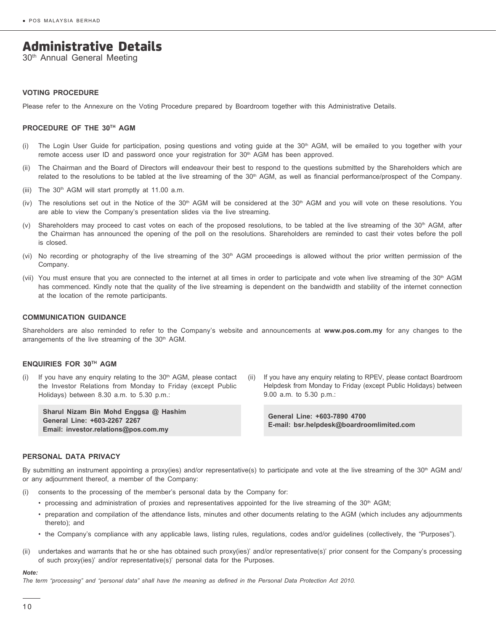# Administrative Details

30th Annual General Meeting

#### **VOTING PROCEDURE**

Please refer to the Annexure on the Voting Procedure prepared by Boardroom together with this Administrative Details.

#### **PROCEDURE OF THE 30TH AGM**

- (i) The Login User Guide for participation, posing questions and voting guide at the 30<sup>th</sup> AGM, will be emailed to you together with your remote access user ID and password once your registration for  $30<sup>th</sup>$  AGM has been approved.
- (ii) The Chairman and the Board of Directors will endeavour their best to respond to the questions submitted by the Shareholders which are related to the resolutions to be tabled at the live streaming of the 30<sup>th</sup> AGM, as well as financial performance/prospect of the Company.
- (iii) The  $30<sup>th</sup>$  AGM will start promptly at 11.00 a.m.
- (iv) The resolutions set out in the Notice of the  $30<sup>th</sup>$  AGM will be considered at the  $30<sup>th</sup>$  AGM and you will vote on these resolutions. You are able to view the Company's presentation slides via the live streaming.
- (v) Shareholders may proceed to cast votes on each of the proposed resolutions, to be tabled at the live streaming of the 30<sup>th</sup> AGM, after the Chairman has announced the opening of the poll on the resolutions. Shareholders are reminded to cast their votes before the poll is closed.
- (vi) No recording or photography of the live streaming of the 30<sup>th</sup> AGM proceedings is allowed without the prior written permission of the Company.
- (vii) You must ensure that you are connected to the internet at all times in order to participate and vote when live streaming of the 30<sup>th</sup> AGM has commenced. Kindly note that the quality of the live streaming is dependent on the bandwidth and stability of the internet connection at the location of the remote participants.

#### **COMMUNICATION GUIDANCE**

Shareholders are also reminded to refer to the Company's website and announcements at **www.pos.com.my** for any changes to the arrangements of the live streaming of the 30<sup>th</sup> AGM.

#### **ENQUIRIES FOR 30TH AGM**

(i) If you have any enquiry relating to the  $30<sup>th</sup>$  AGM, please contact the Investor Relations from Monday to Friday (except Public Holidays) between 8.30 a.m. to 5.30 p.m.:

**Sharul Nizam Bin Mohd Enggsa @ Hashim General Line: +603-2267 2267 Email: investor.relations@pos.com.my**

(ii) If you have any enquiry relating to RPEV, please contact Boardroom Helpdesk from Monday to Friday (except Public Holidays) between 9.00 a.m. to 5.30 p.m.:

**General Line: +603-7890 4700 E-mail: bsr.helpdesk@boardroomlimited.com**

#### **PERSONAL DATA PRIVACY**

By submitting an instrument appointing a proxy(ies) and/or representative(s) to participate and vote at the live streaming of the 30<sup>th</sup> AGM and/ or any adjournment thereof, a member of the Company:

- (i) consents to the processing of the member's personal data by the Company for:
	- processing and administration of proxies and representatives appointed for the live streaming of the 30<sup>th</sup> AGM;
	- preparation and compilation of the attendance lists, minutes and other documents relating to the AGM (which includes any adjournments thereto); and
	- the Company's compliance with any applicable laws, listing rules, regulations, codes and/or guidelines (collectively, the "Purposes").
- (ii) undertakes and warrants that he or she has obtained such proxy(ies)' and/or representative(s)' prior consent for the Company's processing of such proxy(ies)' and/or representative(s)' personal data for the Purposes.

#### *Note:*

*The term "processing" and "personal data" shall have the meaning as defined in the Personal Data Protection Act 2010.*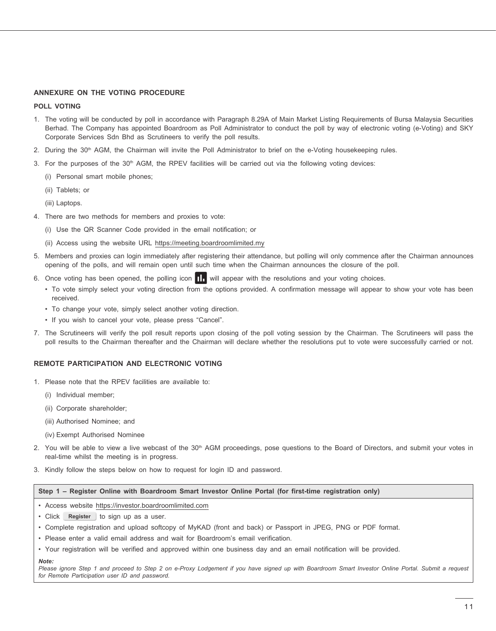#### **ANNEXURE ON THE VOTING PROCEDURE**

#### **POLL VOTING**

- 1. The voting will be conducted by poll in accordance with Paragraph 8.29A of Main Market Listing Requirements of Bursa Malaysia Securities Berhad. The Company has appointed Boardroom as Poll Administrator to conduct the poll by way of electronic voting (e-Voting) and SKY Corporate Services Sdn Bhd as Scrutineers to verify the poll results.
- 2. During the 30<sup>th</sup> AGM, the Chairman will invite the Poll Administrator to brief on the e-Voting housekeeping rules.
- 3. For the purposes of the  $30<sup>th</sup>$  AGM, the RPEV facilities will be carried out via the following voting devices:
	- (i) Personal smart mobile phones;
	- (ii) Tablets; or
	- (iii) Laptops.
- 4. There are two methods for members and proxies to vote:
	- (i) Use the QR Scanner Code provided in the email notification; or
	- (ii) Access using the website URL https://meeting.boardroomlimited.my
- 5. Members and proxies can login immediately after registering their attendance, but polling will only commence after the Chairman announces opening of the polls, and will remain open until such time when the Chairman announces the closure of the poll.
- 6. Once voting has been opened, the polling icon  $\prod$ , will appear with the resolutions and your voting choices.
	- To vote simply select your voting direction from the options provided. A confirmation message will appear to show your vote has been received.
	- To change your vote, simply select another voting direction.
	- If you wish to cancel your vote, please press "Cancel".
- 7. The Scrutineers will verify the poll result reports upon closing of the poll voting session by the Chairman. The Scrutineers will pass the poll results to the Chairman thereafter and the Chairman will declare whether the resolutions put to vote were successfully carried or not.

#### **REMOTE PARTICIPATION AND ELECTRONIC VOTING**

- 1. Please note that the RPEV facilities are available to:
	- (i) Individual member;
	- (ii) Corporate shareholder;
	- (iii) Authorised Nominee; and
	- (iv) Exempt Authorised Nominee
- 2. You will be able to view a live webcast of the 30<sup>th</sup> AGM proceedings, pose questions to the Board of Directors, and submit your votes in real-time whilst the meeting is in progress.
- 3. Kindly follow the steps below on how to request for login ID and password.

#### **Step 1 – Register Online with Boardroom Smart Investor Online Portal (for first-time registration only)**

- Access website https://investor.boardroomlimited.com
- Click **Register** to sign up as a user.
- Complete registration and upload softcopy of MyKAD (front and back) or Passport in JPEG, PNG or PDF format.
- Please enter a valid email address and wait for Boardroom's email verification.
- Your registration will be verified and approved within one business day and an email notification will be provided.

#### *Note:*

Please ignore Step 1 and proceed to Step 2 on e-Proxy Lodgement if you have signed up with Boardroom Smart Investor Online Portal. Submit a request *for Remote Participation user ID and password.*